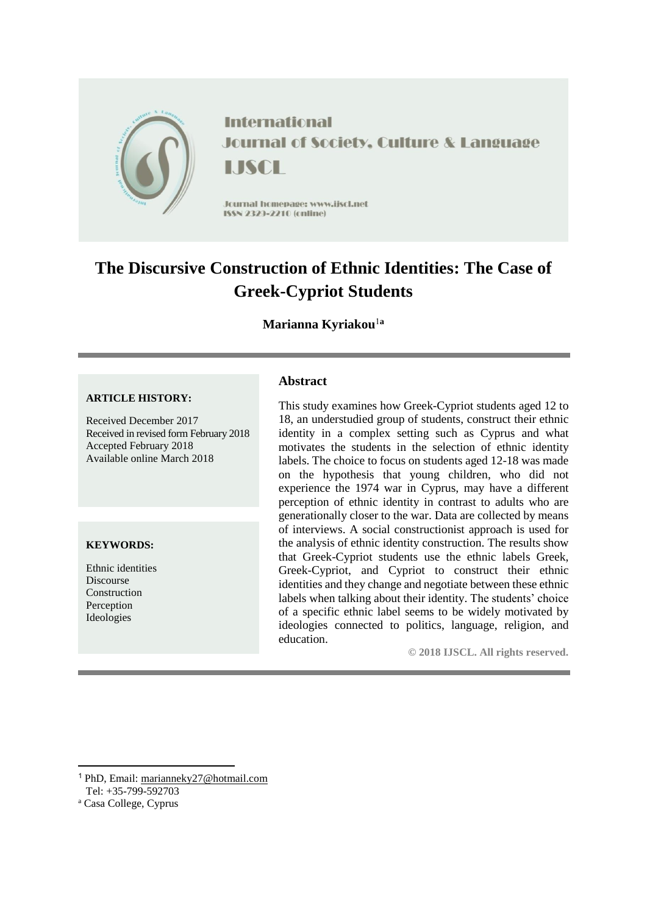

**International** Journal of Society, Culture & Language IJSCI I

Journal homepage: www.jiscl.net ISSN 2329-2210 (cnline)

# **The Discursive Construction of Ethnic Identities: The Case of Greek-Cypriot Students**

# **Marianna Kyriakou**<sup>1</sup>**<sup>a</sup>**

#### **ARTICLE HISTORY:**

Received December 2017 Received in revised form February 2018 Accepted February 2018 Available online March 2018

#### **KEYWORDS:**

Ethnic identities Discourse Construction Perception Ideologies

# **Abstract**

This study examines how Greek-Cypriot students aged 12 to 18, an understudied group of students, construct their ethnic identity in a complex setting such as Cyprus and what motivates the students in the selection of ethnic identity labels. The choice to focus on students aged 12-18 was made on the hypothesis that young children, who did not experience the 1974 war in Cyprus, may have a different perception of ethnic identity in contrast to adults who are generationally closer to the war. Data are collected by means of interviews. A social constructionist approach is used for the analysis of ethnic identity construction. The results show that Greek-Cypriot students use the ethnic labels Greek, Greek-Cypriot, and Cypriot to construct their ethnic identities and they change and negotiate between these ethnic labels when talking about their identity. The students' choice of a specific ethnic label seems to be widely motivated by ideologies connected to politics, language, religion, and education.

**© 2018 IJSCL. All rights reserved.**

**.** 

<sup>1</sup> PhD, Email: [marianneky27@hotmail.com](mailto:marianneky27@hotmail.com)

Tel: +35-799-592703

<sup>a</sup> Casa College, Cyprus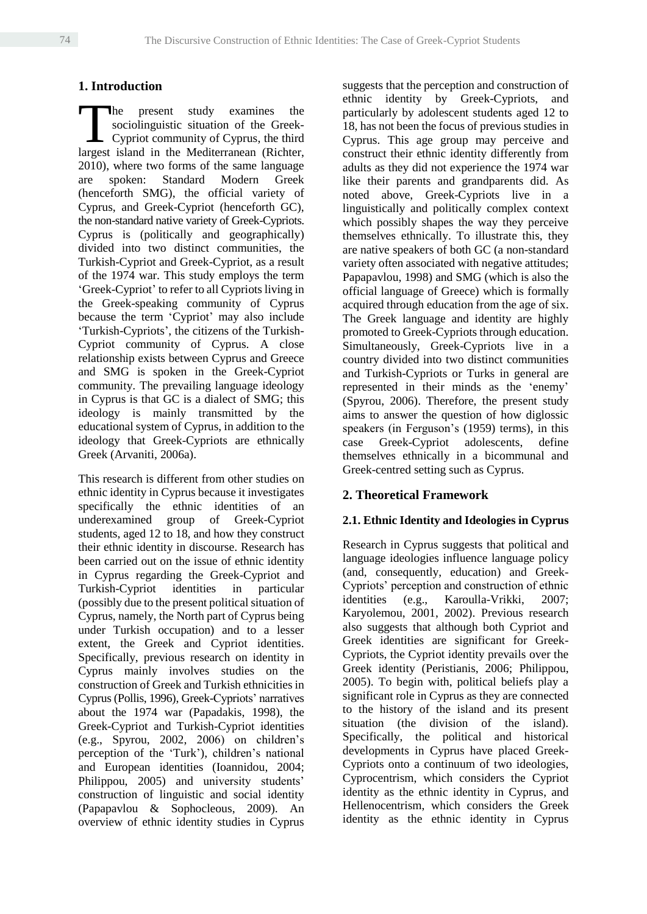# **1. Introduction**

he present study examines the sociolinguistic situation of the Greek-Cypriot community of Cyprus, the third The present study examines the sociolinguistic situation of the Greek-<br>Cypriot community of Cyprus, the third<br>largest island in the Mediterranean (Richter, 2010), where two forms of the same language are spoken: Standard Modern Greek (henceforth SMG), the official variety of Cyprus, and Greek-Cypriot (henceforth GC), the non-standard native variety of Greek-Cypriots. Cyprus is (politically and geographically) divided into two distinct communities, the Turkish-Cypriot and Greek-Cypriot, as a result of the 1974 war. This study employs the term 'Greek-Cypriot' to refer to all Cypriots living in the Greek-speaking community of Cyprus because the term 'Cypriot' may also include 'Turkish-Cypriots', the citizens of the Turkish-Cypriot community of Cyprus. A close relationship exists between Cyprus and Greece and SMG is spoken in the Greek-Cypriot community. The prevailing language ideology in Cyprus is that GC is a dialect of SMG; this ideology is mainly transmitted by the educational system of Cyprus, in addition to the ideology that Greek-Cypriots are ethnically Greek (Arvaniti, 2006a).

This research is different from other studies on ethnic identity in Cyprus because it investigates specifically the ethnic identities of an underexamined group of Greek-Cypriot students, aged 12 to 18, and how they construct their ethnic identity in discourse. Research has been carried out on the issue of ethnic identity in Cyprus regarding the Greek-Cypriot and Turkish-Cypriot identities in particular (possibly due to the present political situation of Cyprus, namely, the North part of Cyprus being under Turkish occupation) and to a lesser extent, the Greek and Cypriot identities. Specifically, previous research on identity in Cyprus mainly involves studies on the construction of Greek and Turkish ethnicities in Cyprus (Pollis, 1996), Greek-Cypriots' narratives about the 1974 war (Papadakis, 1998), the Greek-Cypriot and Turkish-Cypriot identities (e.g., Spyrou, 2002, 2006) on children's perception of the 'Turk'), children's national and European identities (Ioannidou, 2004; Philippou, 2005) and university students' construction of linguistic and social identity (Papapavlou & Sophocleous, 2009). An overview of ethnic identity studies in Cyprus suggests that the perception and construction of ethnic identity by Greek-Cypriots, and particularly by adolescent students aged 12 to 18, has not been the focus of previous studies in Cyprus. This age group may perceive and construct their ethnic identity differently from adults as they did not experience the 1974 war like their parents and grandparents did. As noted above, Greek-Cypriots live in a linguistically and politically complex context which possibly shapes the way they perceive themselves ethnically. To illustrate this, they are native speakers of both GC (a non-standard variety often associated with negative attitudes; Papapavlou, 1998) and SMG (which is also the official language of Greece) which is formally acquired through education from the age of six. The Greek language and identity are highly promoted to Greek-Cypriots through education. Simultaneously, Greek-Cypriots live in a country divided into two distinct communities and Turkish-Cypriots or Turks in general are represented in their minds as the 'enemy' (Spyrou, 2006). Therefore, the present study aims to answer the question of how diglossic speakers (in Ferguson's (1959) terms), in this case Greek-Cypriot adolescents, define themselves ethnically in a bicommunal and Greek-centred setting such as Cyprus.

# **2. Theoretical Framework**

# **2.1. Ethnic Identity and Ideologies in Cyprus**

Research in Cyprus suggests that political and language ideologies influence language policy (and, consequently, education) and Greek-Cypriots' perception and construction of ethnic identities (e.g., Karoulla-Vrikki, 2007; Karyolemou, 2001, 2002). Previous research also suggests that although both Cypriot and Greek identities are significant for Greek-Cypriots, the Cypriot identity prevails over the Greek identity (Peristianis, 2006; Philippou, 2005). To begin with, political beliefs play a significant role in Cyprus as they are connected to the history of the island and its present situation (the division of the island). Specifically, the political and historical developments in Cyprus have placed Greek-Cypriots onto a continuum of two ideologies, Cyprocentrism, which considers the Cypriot identity as the ethnic identity in Cyprus, and Hellenocentrism, which considers the Greek identity as the ethnic identity in Cyprus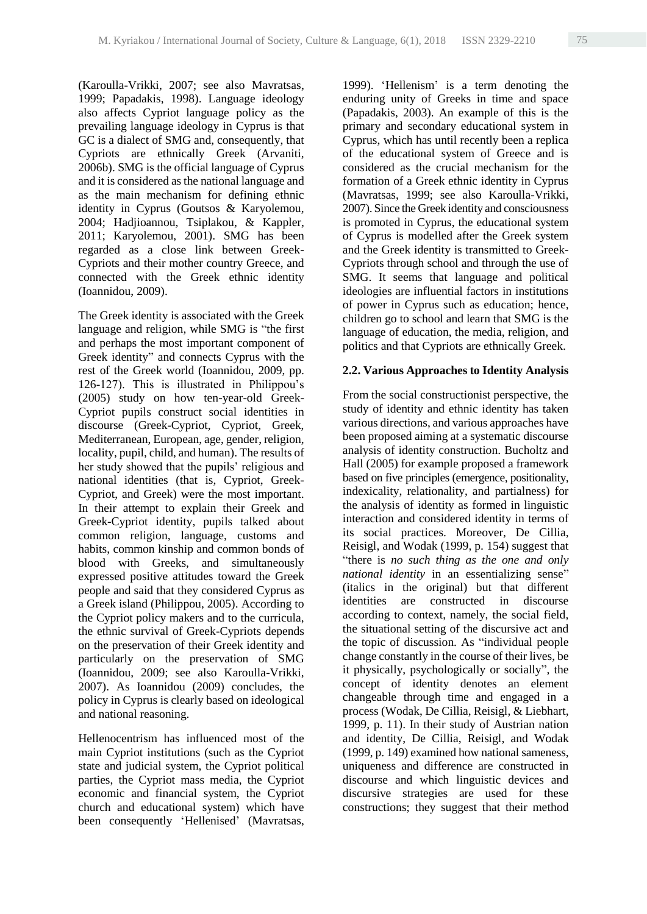(Karoulla-Vrikki, 2007; see also Mavratsas, 1999; Papadakis, 1998). Language ideology also affects Cypriot language policy as the prevailing language ideology in Cyprus is that GC is a dialect of SMG and, consequently, that Cypriots are ethnically Greek (Arvaniti, 2006b). SMG is the official language of Cyprus and it is considered as the national language and as the main mechanism for defining ethnic identity in Cyprus (Goutsos & Karyolemou, 2004; Hadjioannou, Tsiplakou, & Kappler, 2011; Karyolemou, 2001). SMG has been regarded as a close link between Greek-Cypriots and their mother country Greece, and connected with the Greek ethnic identity (Ioannidou, 2009).

The Greek identity is associated with the Greek language and religion, while SMG is "the first and perhaps the most important component of Greek identity" and connects Cyprus with the rest of the Greek world (Ioannidou, 2009, pp. 126-127). This is illustrated in Philippou's (2005) study on how ten-year-old Greek-Cypriot pupils construct social identities in discourse (Greek-Cypriot, Cypriot, Greek, Mediterranean, European, age, gender, religion, locality, pupil, child, and human). The results of her study showed that the pupils' religious and national identities (that is, Cypriot, Greek-Cypriot, and Greek) were the most important. In their attempt to explain their Greek and Greek-Cypriot identity, pupils talked about common religion, language, customs and habits, common kinship and common bonds of blood with Greeks, and simultaneously expressed positive attitudes toward the Greek people and said that they considered Cyprus as a Greek island (Philippou, 2005). According to the Cypriot policy makers and to the curricula, the ethnic survival of Greek-Cypriots depends on the preservation of their Greek identity and particularly on the preservation of SMG (Ioannidou, 2009; see also Karoulla-Vrikki, 2007). As Ioannidou (2009) concludes, the policy in Cyprus is clearly based on ideological and national reasoning.

Hellenocentrism has influenced most of the main Cypriot institutions (such as the Cypriot state and judicial system, the Cypriot political parties, the Cypriot mass media, the Cypriot economic and financial system, the Cypriot church and educational system) which have been consequently 'Hellenised' (Mavratsas, 1999). 'Hellenism' is a term denoting the enduring unity of Greeks in time and space (Papadakis, 2003). An example of this is the primary and secondary educational system in Cyprus, which has until recently been a replica of the educational system of Greece and is considered as the crucial mechanism for the formation of a Greek ethnic identity in Cyprus (Mavratsas, 1999; see also Karoulla-Vrikki, 2007). Since the Greek identity and consciousness is promoted in Cyprus, the educational system of Cyprus is modelled after the Greek system and the Greek identity is transmitted to Greek-Cypriots through school and through the use of SMG. It seems that language and political ideologies are influential factors in institutions of power in Cyprus such as education; hence, children go to school and learn that SMG is the language of education, the media, religion, and politics and that Cypriots are ethnically Greek.

#### **2.2. Various Approaches to Identity Analysis**

From the social constructionist perspective, the study of identity and ethnic identity has taken various directions, and various approaches have been proposed aiming at a systematic discourse analysis of identity construction. Bucholtz and Hall (2005) for example proposed a framework based on five principles (emergence, positionality, indexicality, relationality, and partialness) for the analysis of identity as formed in linguistic interaction and considered identity in terms of its social practices. Moreover, De Cillia, Reisigl, and Wodak (1999, p. 154) suggest that "there is *no such thing as the one and only national identity* in an essentializing sense" (italics in the original) but that different identities are constructed in discourse according to context, namely, the social field, the situational setting of the discursive act and the topic of discussion. As "individual people change constantly in the course of their lives, be it physically, psychologically or socially", the concept of identity denotes an element changeable through time and engaged in a process (Wodak, De Cillia, Reisigl, & Liebhart, 1999, p. 11). In their study of Austrian nation and identity, De Cillia, Reisigl, and Wodak (1999, p. 149) examined how national sameness, uniqueness and difference are constructed in discourse and which linguistic devices and discursive strategies are used for these constructions; they suggest that their method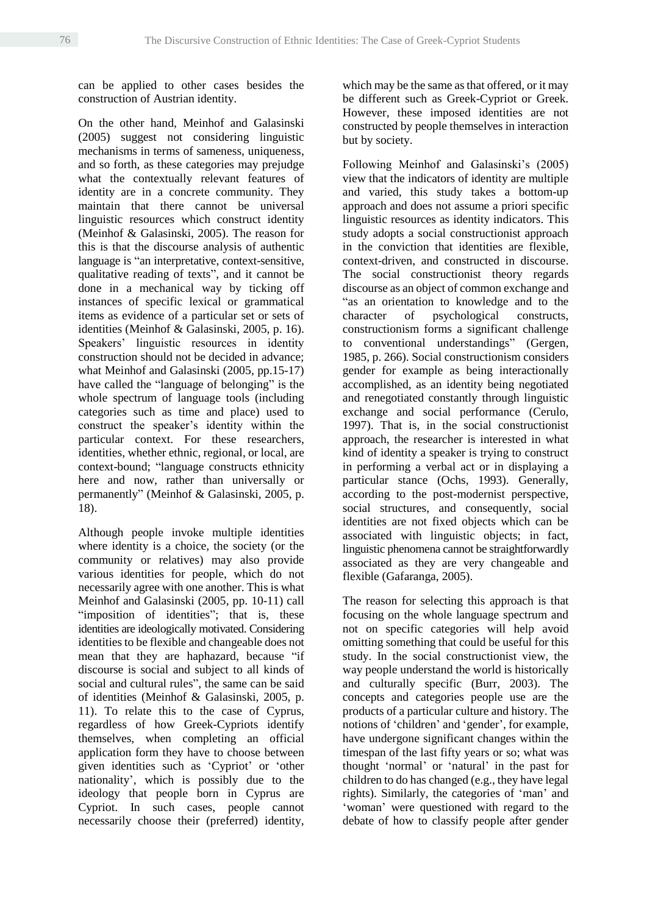can be applied to other cases besides the construction of Austrian identity.

On the other hand, Meinhof and Galasinski (2005) suggest not considering linguistic mechanisms in terms of sameness, uniqueness, and so forth, as these categories may prejudge what the contextually relevant features of identity are in a concrete community. They maintain that there cannot be universal linguistic resources which construct identity (Meinhof & Galasinski, 2005). The reason for this is that the discourse analysis of authentic language is "an interpretative, context-sensitive, qualitative reading of texts", and it cannot be done in a mechanical way by ticking off instances of specific lexical or grammatical items as evidence of a particular set or sets of identities (Meinhof & Galasinski, 2005, p. 16). Speakers' linguistic resources in identity construction should not be decided in advance; what Meinhof and Galasinski (2005, pp.15-17) have called the "language of belonging" is the whole spectrum of language tools (including categories such as time and place) used to construct the speaker's identity within the particular context. For these researchers, identities, whether ethnic, regional, or local, are context-bound; "language constructs ethnicity here and now, rather than universally or permanently" (Meinhof & Galasinski, 2005, p. 18).

Although people invoke multiple identities where identity is a choice, the society (or the community or relatives) may also provide various identities for people, which do not necessarily agree with one another. This is what Meinhof and Galasinski (2005, pp. 10-11) call "imposition of identities"; that is, these identities are ideologically motivated. Considering identities to be flexible and changeable does not mean that they are haphazard, because "if discourse is social and subject to all kinds of social and cultural rules", the same can be said of identities (Meinhof & Galasinski, 2005, p. 11). To relate this to the case of Cyprus, regardless of how Greek-Cypriots identify themselves, when completing an official application form they have to choose between given identities such as 'Cypriot' or 'other nationality', which is possibly due to the ideology that people born in Cyprus are Cypriot. In such cases, people cannot necessarily choose their (preferred) identity, which may be the same as that offered, or it may be different such as Greek-Cypriot or Greek. However, these imposed identities are not constructed by people themselves in interaction but by society.

Following Meinhof and Galasinski's (2005) view that the indicators of identity are multiple and varied, this study takes a bottom-up approach and does not assume a priori specific linguistic resources as identity indicators. This study adopts a social constructionist approach in the conviction that identities are flexible, context-driven, and constructed in discourse. The social constructionist theory regards discourse as an object of common exchange and "as an orientation to knowledge and to the character of psychological constructs, constructionism forms a significant challenge to conventional understandings" (Gergen, 1985, p. 266). Social constructionism considers gender for example as being interactionally accomplished, as an identity being negotiated and renegotiated constantly through linguistic exchange and social performance (Cerulo, 1997). That is, in the social constructionist approach, the researcher is interested in what kind of identity a speaker is trying to construct in performing a verbal act or in displaying a particular stance (Ochs, 1993). Generally, according to the post-modernist perspective, social structures, and consequently, social identities are not fixed objects which can be associated with linguistic objects; in fact, linguistic phenomena cannot be straightforwardly associated as they are very changeable and flexible (Gafaranga, 2005).

The reason for selecting this approach is that focusing on the whole language spectrum and not on specific categories will help avoid omitting something that could be useful for this study. In the social constructionist view, the way people understand the world is historically and culturally specific (Burr, 2003). The concepts and categories people use are the products of a particular culture and history. The notions of 'children' and 'gender', for example, have undergone significant changes within the timespan of the last fifty years or so; what was thought 'normal' or 'natural' in the past for children to do has changed (e.g., they have legal rights). Similarly, the categories of 'man' and 'woman' were questioned with regard to the debate of how to classify people after gender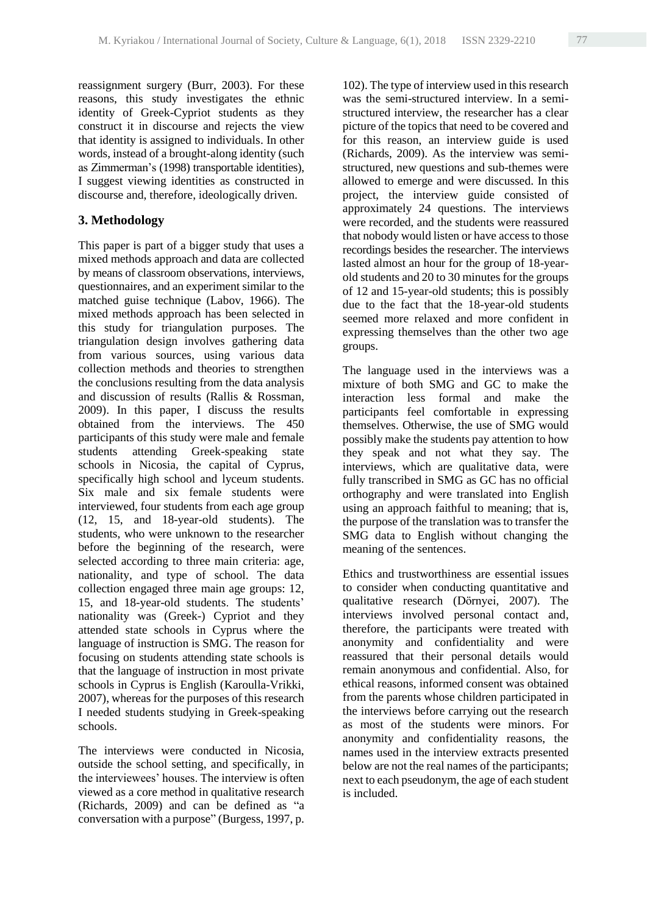reassignment surgery (Burr, 2003). For these reasons, this study investigates the ethnic identity of Greek-Cypriot students as they construct it in discourse and rejects the view that identity is assigned to individuals. In other words, instead of a brought-along identity (such as Zimmerman's (1998) transportable identities), I suggest viewing identities as constructed in discourse and, therefore, ideologically driven.

# **3. Methodology**

This paper is part of a bigger study that uses a mixed methods approach and data are collected by means of classroom observations, interviews, questionnaires, and an experiment similar to the matched guise technique (Labov, 1966). The mixed methods approach has been selected in this study for triangulation purposes. The triangulation design involves gathering data from various sources, using various data collection methods and theories to strengthen the conclusions resulting from the data analysis and discussion of results (Rallis & Rossman, 2009). In this paper, I discuss the results obtained from the interviews. The 450 participants of this study were male and female students attending Greek-speaking state schools in Nicosia, the capital of Cyprus, specifically high school and lyceum students. Six male and six female students were interviewed, four students from each age group (12, 15, and 18-year-old students). The students, who were unknown to the researcher before the beginning of the research, were selected according to three main criteria: age, nationality, and type of school. The data collection engaged three main age groups: 12, 15, and 18-year-old students. The students' nationality was (Greek-) Cypriot and they attended state schools in Cyprus where the language of instruction is SMG. The reason for focusing on students attending state schools is that the language of instruction in most private schools in Cyprus is English (Karoulla-Vrikki, 2007), whereas for the purposes of this research I needed students studying in Greek-speaking schools.

The interviews were conducted in Nicosia, outside the school setting, and specifically, in the interviewees' houses. The interview is often viewed as a core method in qualitative research (Richards, 2009) and can be defined as "a conversation with a purpose" (Burgess, 1997, p.

102). The type of interview used in this research was the semi-structured interview. In a semistructured interview, the researcher has a clear picture of the topics that need to be covered and for this reason, an interview guide is used (Richards, 2009). As the interview was semistructured, new questions and sub-themes were allowed to emerge and were discussed. In this project, the interview guide consisted of approximately 24 questions. The interviews were recorded, and the students were reassured that nobody would listen or have access to those recordings besides the researcher. The interviews lasted almost an hour for the group of 18-yearold students and 20 to 30 minutes for the groups of 12 and 15-year-old students; this is possibly due to the fact that the 18-year-old students seemed more relaxed and more confident in expressing themselves than the other two age groups.

The language used in the interviews was a mixture of both SMG and GC to make the interaction less formal and make the participants feel comfortable in expressing themselves. Otherwise, the use of SMG would possibly make the students pay attention to how they speak and not what they say. The interviews, which are qualitative data, were fully transcribed in SMG as GC has no official orthography and were translated into English using an approach faithful to meaning; that is, the purpose of the translation was to transfer the SMG data to English without changing the meaning of the sentences.

Ethics and trustworthiness are essential issues to consider when conducting quantitative and qualitative research (Dӧrnyei, 2007). The interviews involved personal contact and, therefore, the participants were treated with anonymity and confidentiality and were reassured that their personal details would remain anonymous and confidential. Also, for ethical reasons, informed consent was obtained from the parents whose children participated in the interviews before carrying out the research as most of the students were minors. For anonymity and confidentiality reasons, the names used in the interview extracts presented below are not the real names of the participants; next to each pseudonym, the age of each student is included.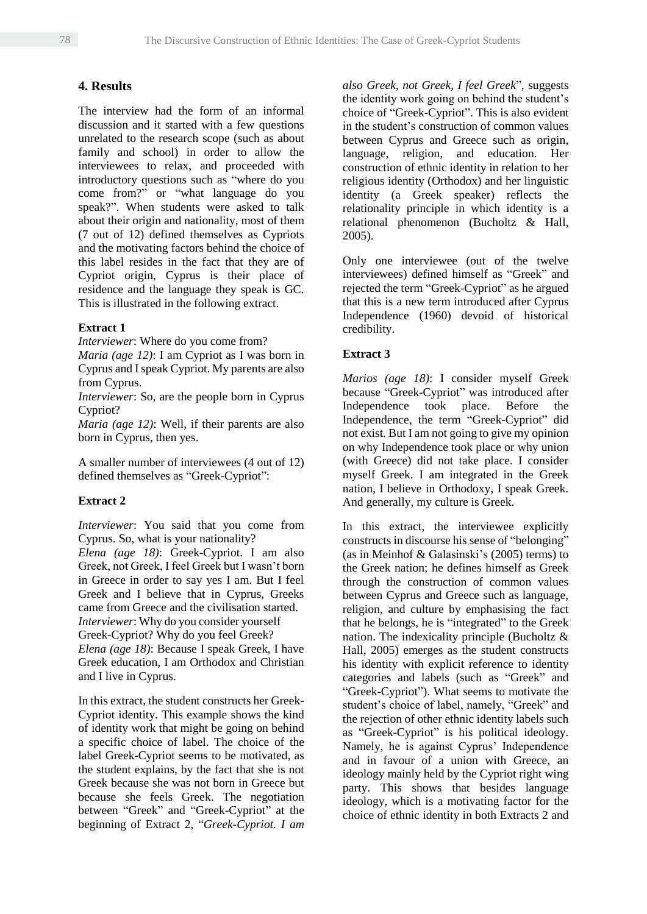# **4. Results**

The interview had the form of an informal discussion and it started with a few questions unrelated to the research scope (such as about family and school) in order to allow the interviewees to relax, and proceeded with introductory questions such as "where do you come from?" or "what language do you speak?". When students were asked to talk about their origin and nationality, most of them (7 out of 12) defined themselves as Cypriots and the motivating factors behind the choice of this label resides in the fact that they are of Cypriot origin, Cyprus is their place of residence and the language they speak is GC. This is illustrated in the following extract.

# **Extract 1**

*Interviewer*: Where do you come from?

*Maria (age 12)*: I am Cypriot as I was born in Cyprus and I speak Cypriot. My parents are also from Cyprus.

*Interviewer*: So, are the people born in Cyprus Cypriot?

*Maria (age 12)*: Well, if their parents are also born in Cyprus, then yes.

A smaller number of interviewees (4 out of 12) defined themselves as "Greek-Cypriot":

# **Extract 2**

*Interviewer*: You said that you come from Cyprus. So, what is your nationality? *Elena (age 18)*: Greek-Cypriot. I am also Greek, not Greek, I feel Greek but I wasn't born in Greece in order to say yes I am. But I feel Greek and I believe that in Cyprus, Greeks came from Greece and the civilisation started. *Interviewer*: Why do you consider yourself Greek-Cypriot? Why do you feel Greek? *Elena (age 18)*: Because I speak Greek, I have Greek education, I am Orthodox and Christian and I live in Cyprus.

In this extract, the student constructs her Greek-Cypriot identity. This example shows the kind of identity work that might be going on behind a specific choice of label. The choice of the label Greek-Cypriot seems to be motivated, as the student explains, by the fact that she is not Greek because she was not born in Greece but because she feels Greek. The negotiation between "Greek" and "Greek-Cypriot" at the beginning of Extract 2, "*Greek-Cypriot. I am*  *also Greek, not Greek, I feel Greek*", suggests the identity work going on behind the student's choice of "Greek-Cypriot". This is also evident in the student's construction of common values between Cyprus and Greece such as origin, language, religion, and education. Her construction of ethnic identity in relation to her religious identity (Orthodox) and her linguistic identity (a Greek speaker) reflects the relationality principle in which identity is a relational phenomenon (Bucholtz & Hall, 2005).

Only one interviewee (out of the twelve interviewees) defined himself as "Greek" and rejected the term "Greek-Cypriot" as he argued that this is a new term introduced after Cyprus Independence (1960) devoid of historical credibility.

# **Extract 3**

*Marios (age 18)*: I consider myself Greek because "Greek-Cypriot" was introduced after Independence took place. Before the Independence, the term "Greek-Cypriot" did not exist. But I am not going to give my opinion on why Independence took place or why union (with Greece) did not take place. I consider myself Greek. I am integrated in the Greek nation, I believe in Orthodoxy, I speak Greek. And generally, my culture is Greek.

In this extract, the interviewee explicitly constructs in discourse his sense of "belonging" (as in Meinhof & Galasinski's (2005) terms) to the Greek nation; he defines himself as Greek through the construction of common values between Cyprus and Greece such as language, religion, and culture by emphasising the fact that he belongs, he is "integrated" to the Greek nation. The indexicality principle (Bucholtz & Hall, 2005) emerges as the student constructs his identity with explicit reference to identity categories and labels (such as "Greek" and "Greek-Cypriot"). What seems to motivate the student's choice of label, namely, "Greek" and the rejection of other ethnic identity labels such as "Greek-Cypriot" is his political ideology. Namely, he is against Cyprus' Independence and in favour of a union with Greece, an ideology mainly held by the Cypriot right wing party. This shows that besides language ideology, which is a motivating factor for the choice of ethnic identity in both Extracts 2 and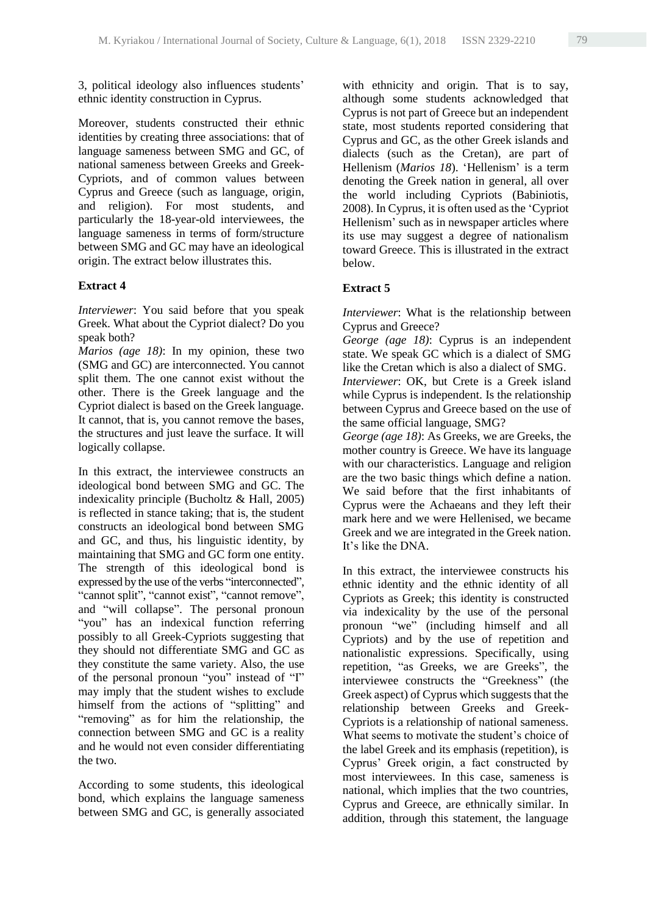3, political ideology also influences students' ethnic identity construction in Cyprus.

Moreover, students constructed their ethnic identities by creating three associations: that of language sameness between SMG and GC, of national sameness between Greeks and Greek-Cypriots, and of common values between Cyprus and Greece (such as language, origin, and religion). For most students, and particularly the 18-year-old interviewees, the language sameness in terms of form/structure between SMG and GC may have an ideological origin. The extract below illustrates this.

#### **Extract 4**

*Interviewer*: You said before that you speak Greek. What about the Cypriot dialect? Do you speak both?

*Marios (age 18)*: In my opinion, these two (SMG and GC) are interconnected. You cannot split them. The one cannot exist without the other. There is the Greek language and the Cypriot dialect is based on the Greek language. It cannot, that is, you cannot remove the bases, the structures and just leave the surface. It will logically collapse.

In this extract, the interviewee constructs an ideological bond between SMG and GC. The indexicality principle (Bucholtz & Hall, 2005) is reflected in stance taking; that is, the student constructs an ideological bond between SMG and GC, and thus, his linguistic identity, by maintaining that SMG and GC form one entity. The strength of this ideological bond is expressed by the use of the verbs "interconnected", "cannot split", "cannot exist", "cannot remove", and "will collapse". The personal pronoun "you" has an indexical function referring possibly to all Greek-Cypriots suggesting that they should not differentiate SMG and GC as they constitute the same variety. Also, the use of the personal pronoun "you" instead of "I" may imply that the student wishes to exclude himself from the actions of "splitting" and "removing" as for him the relationship, the connection between SMG and GC is a reality and he would not even consider differentiating the two.

According to some students, this ideological bond, which explains the language sameness between SMG and GC, is generally associated

with ethnicity and origin. That is to say, although some students acknowledged that Cyprus is not part of Greece but an independent state, most students reported considering that Cyprus and GC, as the other Greek islands and dialects (such as the Cretan), are part of Hellenism (*Marios 18*). 'Hellenism' is a term denoting the Greek nation in general, all over the world including Cypriots (Babiniotis, 2008). In Cyprus, it is often used as the 'Cypriot Hellenism' such as in newspaper articles where its use may suggest a degree of nationalism toward Greece. This is illustrated in the extract below.

### **Extract 5**

*Interviewer*: What is the relationship between Cyprus and Greece?

*George (age 18)*: Cyprus is an independent state. We speak GC which is a dialect of SMG like the Cretan which is also a dialect of SMG.

*Interviewer*: OK, but Crete is a Greek island while Cyprus is independent. Is the relationship between Cyprus and Greece based on the use of the same official language, SMG?

*George (age 18)*: As Greeks, we are Greeks, the mother country is Greece. We have its language with our characteristics. Language and religion are the two basic things which define a nation. We said before that the first inhabitants of Cyprus were the Achaeans and they left their mark here and we were Hellenised, we became Greek and we are integrated in the Greek nation. It's like the DNA.

In this extract, the interviewee constructs his ethnic identity and the ethnic identity of all Cypriots as Greek; this identity is constructed via indexicality by the use of the personal pronoun "we" (including himself and all Cypriots) and by the use of repetition and nationalistic expressions. Specifically, using repetition, "as Greeks, we are Greeks", the interviewee constructs the "Greekness" (the Greek aspect) of Cyprus which suggests that the relationship between Greeks and Greek-Cypriots is a relationship of national sameness. What seems to motivate the student's choice of the label Greek and its emphasis (repetition), is Cyprus' Greek origin, a fact constructed by most interviewees. In this case, sameness is national, which implies that the two countries, Cyprus and Greece, are ethnically similar. In addition, through this statement, the language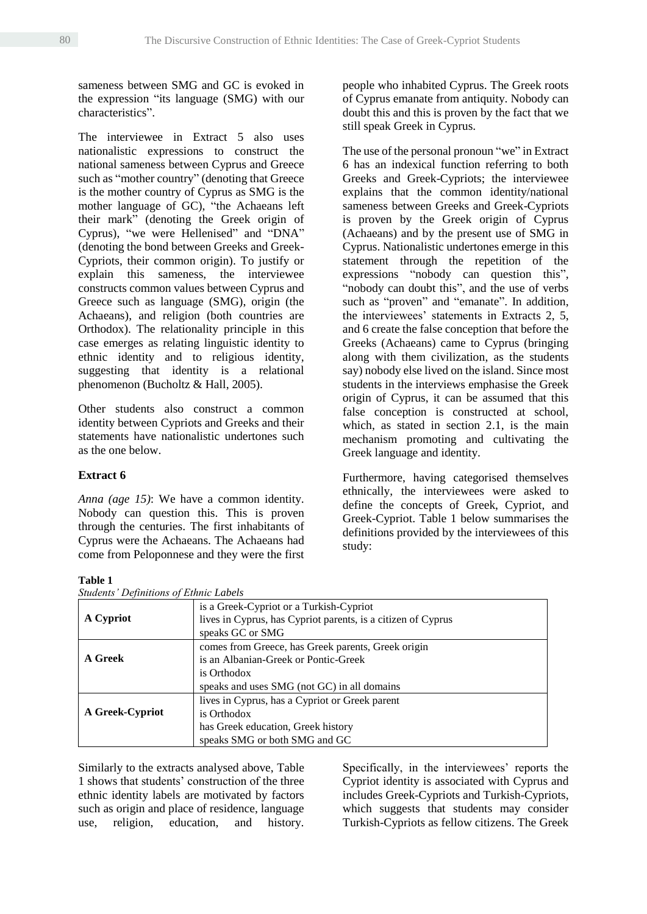sameness between SMG and GC is evoked in the expression "its language (SMG) with our characteristics".

The interviewee in Extract 5 also uses nationalistic expressions to construct the national sameness between Cyprus and Greece such as "mother country" (denoting that Greece is the mother country of Cyprus as SMG is the mother language of GC), "the Achaeans left their mark" (denoting the Greek origin of Cyprus), "we were Hellenised" and "DNA" (denoting the bond between Greeks and Greek-Cypriots, their common origin). To justify or explain this sameness, the interviewee constructs common values between Cyprus and Greece such as language (SMG), origin (the Achaeans), and religion (both countries are Orthodox). The relationality principle in this case emerges as relating linguistic identity to ethnic identity and to religious identity, suggesting that identity is a relational phenomenon (Bucholtz & Hall, 2005).

Other students also construct a common identity between Cypriots and Greeks and their statements have nationalistic undertones such as the one below.

### **Extract 6**

*Anna (age 15)*: We have a common identity. Nobody can question this. This is proven through the centuries. The first inhabitants of Cyprus were the Achaeans. The Achaeans had come from Peloponnese and they were the first

# **Table 1**  $\sum_{n=1}^{\infty}$  **Table 1**

 $SFLJ \times TJ$ 

people who inhabited Cyprus. The Greek roots of Cyprus emanate from antiquity. Nobody can doubt this and this is proven by the fact that we still speak Greek in Cyprus.

The use of the personal pronoun "we" in Extract 6 has an indexical function referring to both Greeks and Greek-Cypriots; the interviewee explains that the common identity/national sameness between Greeks and Greek-Cypriots is proven by the Greek origin of Cyprus (Achaeans) and by the present use of SMG in Cyprus. Nationalistic undertones emerge in this statement through the repetition of the expressions "nobody can question this", "nobody can doubt this", and the use of verbs such as "proven" and "emanate". In addition, the interviewees' statements in Extracts 2, 5, and 6 create the false conception that before the Greeks (Achaeans) came to Cyprus (bringing along with them civilization, as the students say) nobody else lived on the island. Since most students in the interviews emphasise the Greek origin of Cyprus, it can be assumed that this false conception is constructed at school, which, as stated in section 2.1, is the main mechanism promoting and cultivating the Greek language and identity.

Furthermore, having categorised themselves ethnically, the interviewees were asked to define the concepts of Greek, Cypriot, and Greek-Cypriot. Table 1 below summarises the definitions provided by the interviewees of this study:

| Students Definitions of Ethnic Labets |                                                              |
|---------------------------------------|--------------------------------------------------------------|
| A Cypriot                             | is a Greek-Cypriot or a Turkish-Cypriot                      |
|                                       | lives in Cyprus, has Cypriot parents, is a citizen of Cyprus |
|                                       | speaks GC or SMG                                             |
| A Greek                               | comes from Greece, has Greek parents, Greek origin           |
|                                       | is an Albanian-Greek or Pontic-Greek                         |
|                                       | is Orthodox                                                  |
|                                       | speaks and uses SMG (not GC) in all domains                  |
| <b>A Greek-Cypriot</b>                | lives in Cyprus, has a Cypriot or Greek parent               |
|                                       | is Orthodox                                                  |
|                                       | has Greek education, Greek history                           |
|                                       | speaks SMG or both SMG and GC                                |

Similarly to the extracts analysed above, Table 1 shows that students' construction of the three ethnic identity labels are motivated by factors such as origin and place of residence, language use, religion, education, and history. Specifically, in the interviewees' reports the Cypriot identity is associated with Cyprus and includes Greek-Cypriots and Turkish-Cypriots, which suggests that students may consider Turkish-Cypriots as fellow citizens. The Greek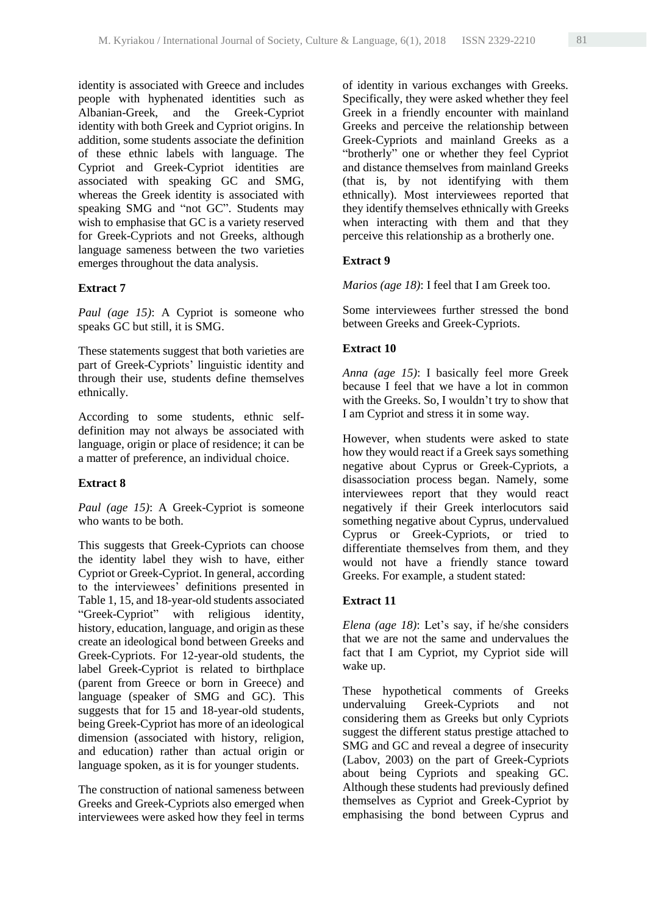identity is associated with Greece and includes people with hyphenated identities such as Albanian-Greek, and the Greek-Cypriot identity with both Greek and Cypriot origins. In addition, some students associate the definition of these ethnic labels with language. The Cypriot and Greek-Cypriot identities are associated with speaking GC and SMG, whereas the Greek identity is associated with speaking SMG and "not GC". Students may wish to emphasise that GC is a variety reserved for Greek-Cypriots and not Greeks, although language sameness between the two varieties emerges throughout the data analysis.

#### **Extract 7**

*Paul (age 15)*: A Cypriot is someone who speaks GC but still, it is SMG.

These statements suggest that both varieties are part of Greek-Cypriots' linguistic identity and through their use, students define themselves ethnically.

According to some students, ethnic selfdefinition may not always be associated with language, origin or place of residence; it can be a matter of preference, an individual choice.

### **Extract 8**

*Paul (age 15)*: A Greek-Cypriot is someone who wants to be both.

This suggests that Greek-Cypriots can choose the identity label they wish to have, either Cypriot or Greek-Cypriot. In general, according to the interviewees' definitions presented in Table 1, 15, and 18-year-old students associated "Greek-Cypriot" with religious identity, history, education, language, and origin as these create an ideological bond between Greeks and Greek-Cypriots. For 12-year-old students, the label Greek-Cypriot is related to birthplace (parent from Greece or born in Greece) and language (speaker of SMG and GC). This suggests that for 15 and 18-year-old students, being Greek-Cypriot has more of an ideological dimension (associated with history, religion, and education) rather than actual origin or language spoken, as it is for younger students.

The construction of national sameness between Greeks and Greek-Cypriots also emerged when interviewees were asked how they feel in terms of identity in various exchanges with Greeks. Specifically, they were asked whether they feel Greek in a friendly encounter with mainland Greeks and perceive the relationship between Greek-Cypriots and mainland Greeks as a "brotherly" one or whether they feel Cypriot and distance themselves from mainland Greeks (that is, by not identifying with them ethnically). Most interviewees reported that they identify themselves ethnically with Greeks when interacting with them and that they perceive this relationship as a brotherly one.

#### **Extract 9**

*Marios (age 18)*: I feel that I am Greek too.

Some interviewees further stressed the bond between Greeks and Greek-Cypriots.

#### **Extract 10**

*Anna (age 15)*: I basically feel more Greek because I feel that we have a lot in common with the Greeks. So, I wouldn't try to show that I am Cypriot and stress it in some way.

However, when students were asked to state how they would react if a Greek says something negative about Cyprus or Greek-Cypriots, a disassociation process began. Namely, some interviewees report that they would react negatively if their Greek interlocutors said something negative about Cyprus, undervalued Cyprus or Greek-Cypriots, or tried to differentiate themselves from them, and they would not have a friendly stance toward Greeks. For example, a student stated:

### **Extract 11**

*Elena (age 18)*: Let's say, if he/she considers that we are not the same and undervalues the fact that I am Cypriot, my Cypriot side will wake up.

These hypothetical comments of Greeks undervaluing Greek-Cypriots and not considering them as Greeks but only Cypriots suggest the different status prestige attached to SMG and GC and reveal a degree of insecurity (Labov, 2003) on the part of Greek-Cypriots about being Cypriots and speaking GC. Although these students had previously defined themselves as Cypriot and Greek-Cypriot by emphasising the bond between Cyprus and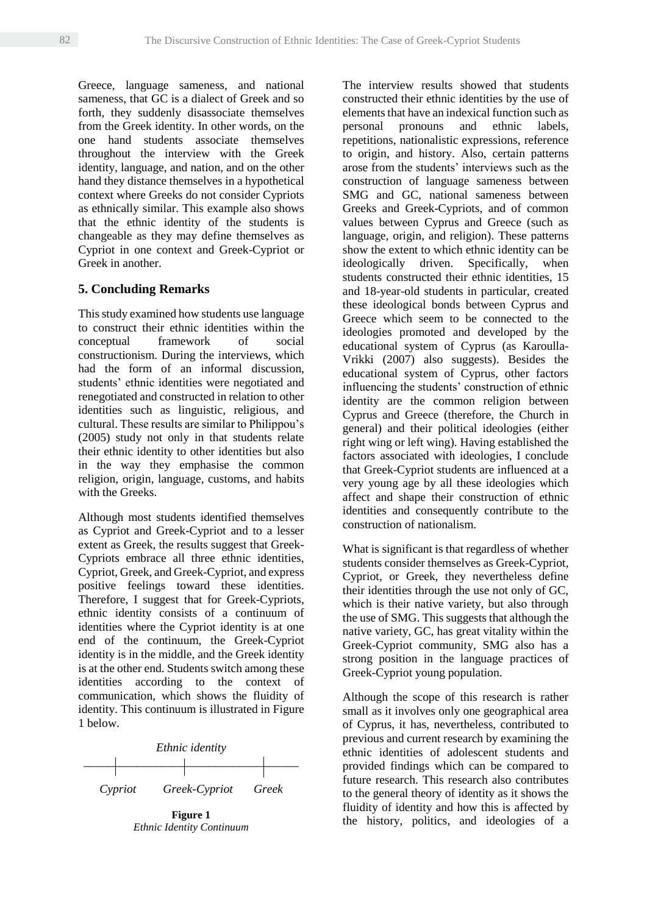Greece, language sameness, and national sameness, that GC is a dialect of Greek and so forth, they suddenly disassociate themselves from the Greek identity. In other words, on the one hand students associate themselves throughout the interview with the Greek identity, language, and nation, and on the other hand they distance themselves in a hypothetical context where Greeks do not consider Cypriots as ethnically similar. This example also shows that the ethnic identity of the students is changeable as they may define themselves as Cypriot in one context and Greek-Cypriot or Greek in another.

# **5. Concluding Remarks**

This study examined how students use language to construct their ethnic identities within the conceptual framework of social constructionism. During the interviews, which had the form of an informal discussion, students' ethnic identities were negotiated and renegotiated and constructed in relation to other identities such as linguistic, religious, and cultural. These results are similar to Philippou's (2005) study not only in that students relate their ethnic identity to other identities but also in the way they emphasise the common religion, origin, language, customs, and habits with the Greeks.

Although most students identified themselves as Cypriot and Greek-Cypriot and to a lesser extent as Greek, the results suggest that Greek-Cypriots embrace all three ethnic identities, Cypriot, Greek, and Greek-Cypriot, and express positive feelings toward these identities. Therefore, I suggest that for Greek-Cypriots, ethnic identity consists of a continuum of identities where the Cypriot identity is at one end of the continuum, the Greek-Cypriot identity is in the middle, and the Greek identity is at the other end. Students switch among these identities according to the context of communication, which shows the fluidity of identity. This continuum is illustrated in Figure 1 below.



**Figure 1** *Ethnic Identity Continuum*

The interview results showed that students constructed their ethnic identities by the use of elements that have an indexical function such as personal pronouns and ethnic labels, repetitions, nationalistic expressions, reference to origin, and history. Also, certain patterns arose from the students' interviews such as the construction of language sameness between SMG and GC, national sameness between Greeks and Greek-Cypriots, and of common values between Cyprus and Greece (such as language, origin, and religion). These patterns show the extent to which ethnic identity can be ideologically driven. Specifically, when students constructed their ethnic identities, 15 and 18-year-old students in particular, created these ideological bonds between Cyprus and Greece which seem to be connected to the ideologies promoted and developed by the educational system of Cyprus (as Karoulla-Vrikki (2007) also suggests). Besides the educational system of Cyprus, other factors influencing the students' construction of ethnic identity are the common religion between Cyprus and Greece (therefore, the Church in general) and their political ideologies (either right wing or left wing). Having established the factors associated with ideologies, I conclude that Greek-Cypriot students are influenced at a very young age by all these ideologies which affect and shape their construction of ethnic identities and consequently contribute to the construction of nationalism.

What is significant is that regardless of whether students consider themselves as Greek-Cypriot, Cypriot, or Greek, they nevertheless define their identities through the use not only of GC, which is their native variety, but also through the use of SMG. This suggests that although the native variety, GC, has great vitality within the Greek-Cypriot community, SMG also has a strong position in the language practices of Greek-Cypriot young population.

Although the scope of this research is rather small as it involves only one geographical area of Cyprus, it has, nevertheless, contributed to previous and current research by examining the ethnic identities of adolescent students and provided findings which can be compared to future research. This research also contributes to the general theory of identity as it shows the fluidity of identity and how this is affected by the history, politics, and ideologies of a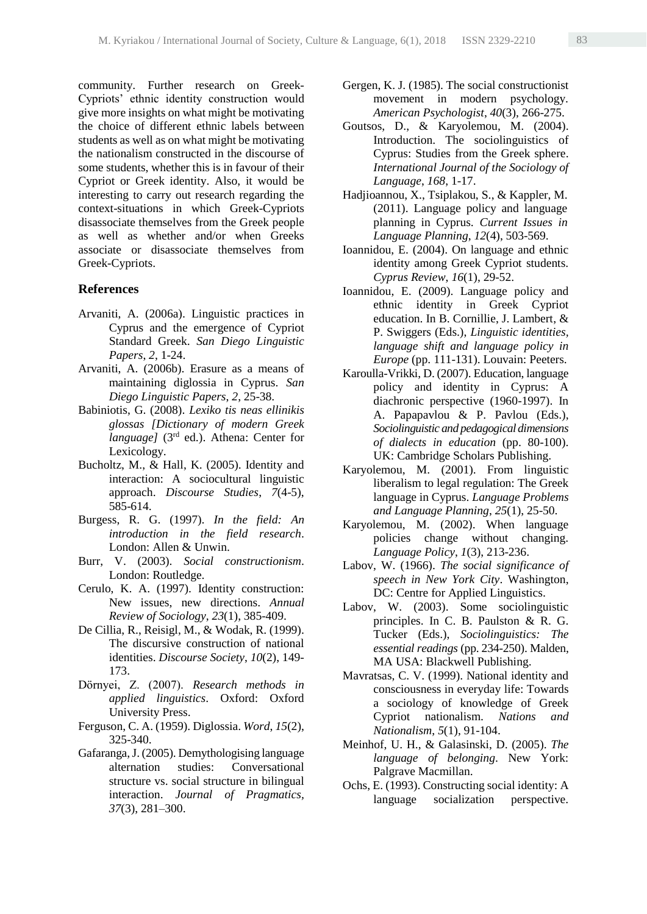community. Further research on Greek-Cypriots' ethnic identity construction would give more insights on what might be motivating the choice of different ethnic labels between students as well as on what might be motivating the nationalism constructed in the discourse of some students, whether this is in favour of their Cypriot or Greek identity. Also, it would be interesting to carry out research regarding the context-situations in which Greek-Cypriots disassociate themselves from the Greek people as well as whether and/or when Greeks associate or disassociate themselves from Greek-Cypriots.

#### **References**

- Arvaniti, A. (2006a). Linguistic practices in Cyprus and the emergence of Cypriot Standard Greek. *San Diego Linguistic Papers*, *2*, 1-24.
- Arvaniti, A. (2006b). Erasure as a means of maintaining diglossia in Cyprus. *San Diego Linguistic Papers*, *2*, 25-38.
- Babiniotis, G. (2008). *Lexiko tis neas ellinikis glossas [Dictionary of modern Greek language]* (3<sup>rd</sup> ed.). Athena: Center for Lexicology.
- Bucholtz, M., & Hall, K. (2005). Identity and interaction: A sociocultural linguistic approach. *Discourse Studies*, *7*(4-5), 585-614.
- Burgess, R. G. (1997). *In the field: An introduction in the field research*. London: Allen & Unwin.
- Burr, V. (2003). *Social constructionism*. London: Routledge.
- Cerulo, K. A. (1997). Identity construction: New issues, new directions. *Annual Review of Sociology*, *23*(1), 385-409.
- De Cillia, R., Reisigl, M., & Wodak, R. (1999). The discursive construction of national identities. *Discourse Society*, *10*(2), 149- 173.
- Dӧrnyei, Z. (2007). *Research methods in applied linguistics*. Oxford: Oxford University Press.
- Ferguson, C. A. (1959). Diglossia. *Word*, *15*(2), 325-340.
- Gafaranga, J. (2005). Demythologising language alternation studies: Conversational structure vs. social structure in bilingual interaction. *Journal of Pragmatics, 37*(3), 281–300.
- Gergen, K. J. (1985). The social constructionist movement in modern psychology. *American Psychologist*, *40*(3), 266-275.
- Goutsos, D., & Karyolemou, M. (2004). Introduction. The sociolinguistics of Cyprus: Studies from the Greek sphere. *International Journal of the Sociology of Language*, *168*, 1-17.
- Hadjioannou, X., Tsiplakou, S., & Kappler, M. (2011). Language policy and language planning in Cyprus. *Current Issues in Language Planning*, *12*(4), 503-569.
- Ioannidou, E. (2004). On language and ethnic identity among Greek Cypriot students. *Cyprus Review*, *16*(1), 29-52.
- Ioannidou, E. (2009). Language policy and ethnic identity in Greek Cypriot education. In B. Cornillie, J. Lambert, & P. Swiggers (Eds.), *Linguistic identities, language shift and language policy in Europe* (pp. 111-131). Louvain: Peeters.
- Karoulla-Vrikki, D. (2007). Education, language policy and identity in Cyprus: A diachronic perspective (1960-1997). In A. Papapavlou & P. Pavlou (Eds.), *Sociolinguistic and pedagogical dimensions of dialects in education* (pp. 80-100). UK: Cambridge Scholars Publishing.
- Karyolemou, M. (2001). From linguistic liberalism to legal regulation: The Greek language in Cyprus. *Language Problems and Language Planning*, *25*(1), 25-50.
- Karyolemou, M. (2002). When language policies change without changing. *Language Policy*, *1*(3), 213-236.
- Labov, W. (1966). *The social significance of speech in New York City*. Washington, DC: Centre for Applied Linguistics.
- Labov, W. (2003). Some sociolinguistic principles. In C. B. Paulston & R. G. Tucker (Eds.), *Sociolinguistics: The essential readings* (pp. 234-250). Malden, MA USA: Blackwell Publishing.
- Mavratsas, C. V. (1999). National identity and consciousness in everyday life: Towards a sociology of knowledge of Greek Cypriot nationalism. *Nations and Nationalism*, *5*(1), 91-104.
- Meinhof, U. H., & Galasinski, D. (2005). *The language of belonging*. New York: Palgrave Macmillan.
- Ochs, E. (1993). Constructing social identity: A language socialization perspective.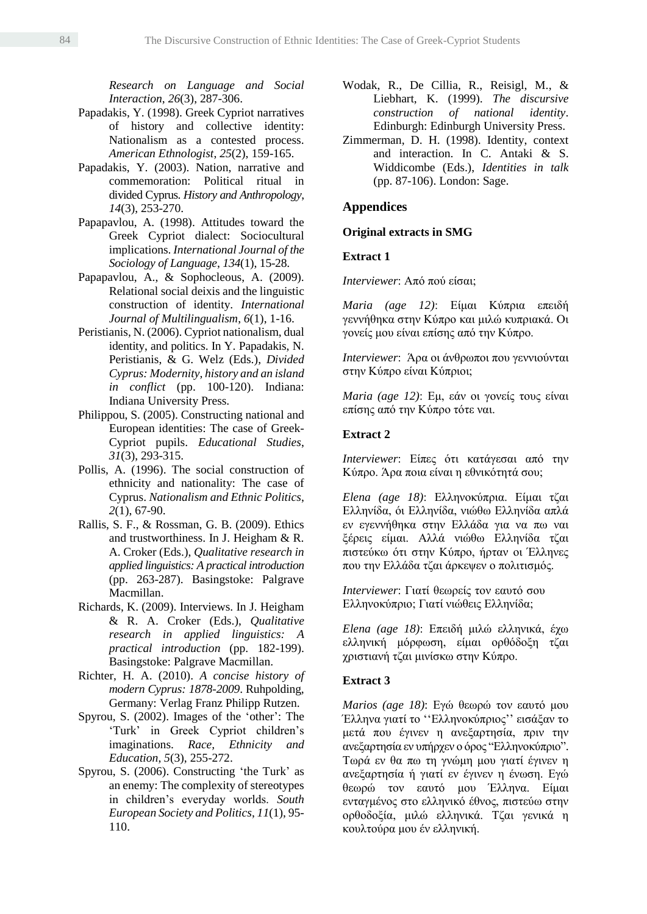*Research on Language and Social Interaction*, *26*(3), 287-306.

- Papadakis, Y. (1998). Greek Cypriot narratives of history and collective identity: Nationalism as a contested process. *American Ethnologist*, *25*(2), 159-165.
- Papadakis, Y. (2003). Nation, narrative and commemoration: Political ritual in divided Cyprus. *History and Anthropology*, *14*(3), 253-270.
- Papapavlou, A. (1998). Attitudes toward the Greek Cypriot dialect: Sociocultural implications. *International Journal of the Sociology of Language*, *134*(1), 15-28.
- Papapavlou, A., & Sophocleous, A. (2009). Relational social deixis and the linguistic construction of identity. *International Journal of Multilingualism*, *6*(1), 1-16.
- Peristianis, N. (2006). Cypriot nationalism, dual identity, and politics. In Y. Papadakis, N. Peristianis, & G. Welz (Eds.), *Divided Cyprus: Modernity, history and an island in conflict* (pp. 100-120). Indiana: Indiana University Press.
- Philippou, S. (2005). Constructing national and European identities: The case of Greek-Cypriot pupils. *Educational Studies*, *31*(3), 293-315.
- Pollis, A. (1996). The social construction of ethnicity and nationality: The case of Cyprus. *Nationalism and Ethnic Politics*, *2*(1), 67-90.
- Rallis, S. F., & Rossman, G. B. (2009). Ethics and trustworthiness. In J. Heigham & R. A. Croker (Eds.), *Qualitative research in applied linguistics: A practical introduction* (pp. 263-287). Basingstoke: Palgrave Macmillan.
- Richards, K. (2009). Interviews. In J. Heigham & R. A. Croker (Eds.), *Qualitative research in applied linguistics: A practical introduction* (pp. 182-199). Basingstoke: Palgrave Macmillan.
- Richter, H. A. (2010). *A concise history of modern Cyprus: 1878-2009*. Ruhpolding, Germany: Verlag Franz Philipp Rutzen.
- Spyrou, S. (2002). Images of the 'other': The 'Turk' in Greek Cypriot children's imaginations. *Race, Ethnicity and Education*, *5*(3), 255-272.
- Spyrou, S. (2006). Constructing 'the Turk' as an enemy: The complexity of stereotypes in children's everyday worlds. *South European Society and Politics*, *11*(1), 95- 110.
- Wodak, R., De Cillia, R., Reisigl, M., & Liebhart, K. (1999). *The discursive construction of national identity*. Edinburgh: Edinburgh University Press.
- Zimmerman, D. H. (1998). Identity, context and interaction. In C. Antaki & S. Widdicombe (Eds.), *Identities in talk*  (pp. 87-106). London: Sage.

### **Appendices**

#### **Original extracts in SMG**

### **Extract 1**

*Interviewer*: Από πού είσαι;

*Maria (age 12)*: Είμαι Κύπρια επειδή γεννήθηκα στην Κύπρο και μιλώ κυπριακά. Οι γονείς μου είναι επίσης από την Κύπρο.

*Interviewer*: Άρα οι άνθρωποι που γεννιούνται στην Κύπρο είναι Κύπριοι;

*Maria (age 12)*: Εμ, εάν οι γονείς τους είναι επίσης από την Κύπρο τότε ναι.

#### **Extract 2**

*Interviewer*: Είπες ότι κατάγεσαι από την Κύπρο. Άρα ποια είναι η εθνικότητά σου;

*Elena (age 18)*: Ελληνοκύπρια. Είμαι τζαι Ελληνίδα, όι Ελληνίδα, νιώθω Ελληνίδα απλά εν εγεννήθηκα στην Ελλάδα για να πω ναι ξέρεις είμαι. Αλλά νιώθω Ελληνίδα τζαι πιστεύκω ότι στην Κύπρο, ήρταν οι Έλληνες που την Ελλάδα τζαι άρκεψεν ο πολιτισμός.

*Interviewer*: Γιατί θεωρείς τον εαυτό σου Ελληνοκύπριο; Γιατί νιώθεις Ελληνίδα;

*Elena (age 18)*: Επειδή μιλώ ελληνικά, έχω ελληνική μόρφωση, είμαι ορθόδοξη τζαι χριστιανή τζαι μινίσκω στην Κύπρο.

#### **Extract 3**

*Marios (age 18)*: Εγώ θεωρώ τον εαυτό μου Έλληνα γιατί το ''Ελληνοκύπριος'' εισάξαν το μετά που έγινεν η ανεξαρτησία, πριν την ανεξαρτησία εν υπήρχεν ο όρος "Ελληνοκύπριο". Τωρά εν θα πω τη γνώμη μου γιατί έγινεν η ανεξαρτησία ή γιατί εν έγινεν η ένωση. Εγώ θεωρώ τον εαυτό μου Έλληνα. Είμαι ενταγμένος στο ελληνικό έθνος, πιστεύω στην ορθοδοξία, μιλώ ελληνικά. Τζαι γενικά η κουλτούρα μου έν ελληνική.